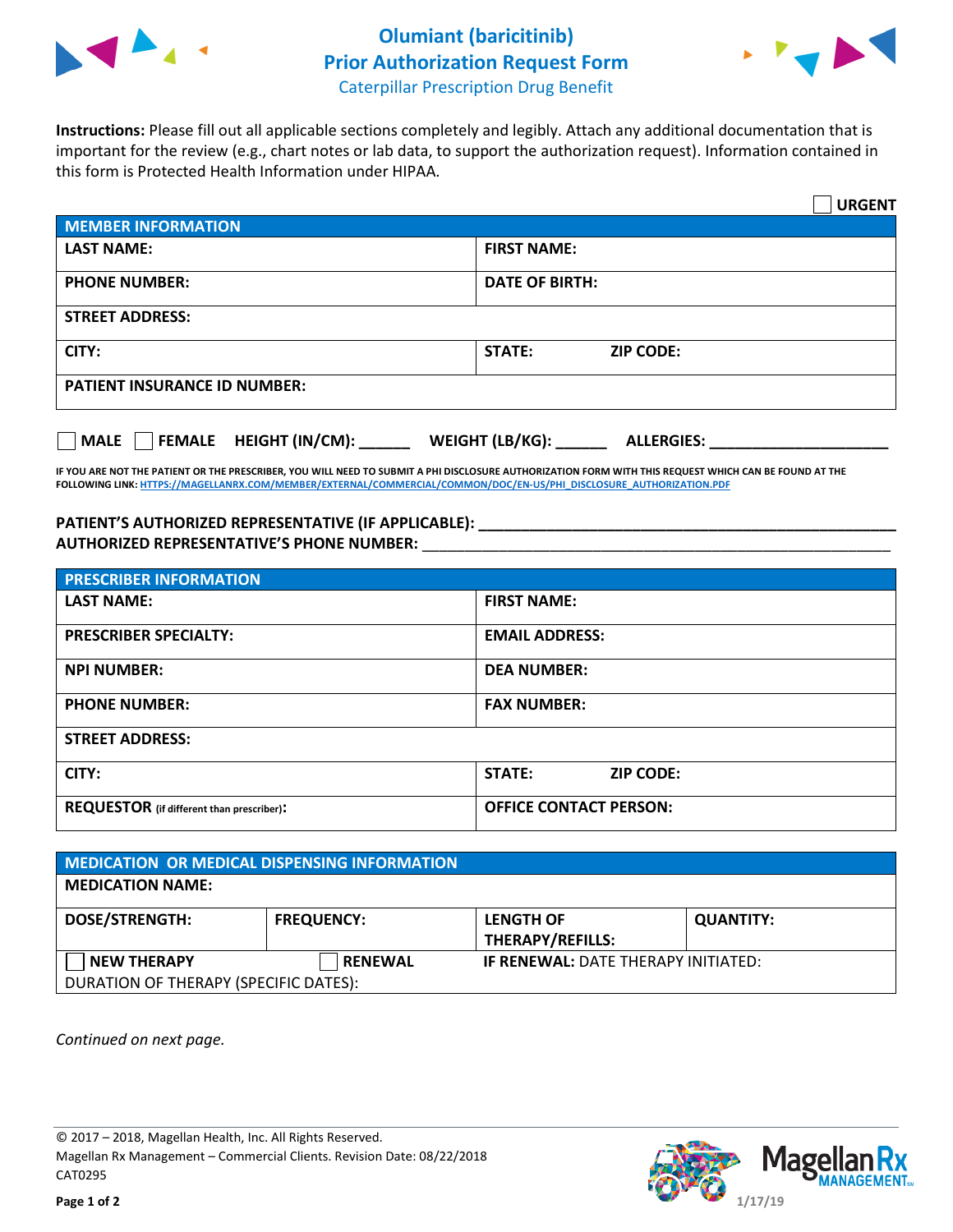

## **Olumiant (baricitinib) Prior Authorization Request Form**



Caterpillar Prescription Drug Benefit

**Instructions:** Please fill out all applicable sections completely and legibly. Attach any additional documentation that is important for the review (e.g., chart notes or lab data, to support the authorization request). Information contained in this form is Protected Health Information under HIPAA.

|                                                                                    | <b>URGENT</b>              |  |  |  |
|------------------------------------------------------------------------------------|----------------------------|--|--|--|
| <b>MEMBER INFORMATION</b>                                                          |                            |  |  |  |
| <b>LAST NAME:</b>                                                                  | <b>FIRST NAME:</b>         |  |  |  |
| <b>PHONE NUMBER:</b>                                                               | DATE OF BIRTH:             |  |  |  |
| <b>STREET ADDRESS:</b>                                                             |                            |  |  |  |
| CITY:                                                                              | STATE:<br><b>ZIP CODE:</b> |  |  |  |
| <b>PATIENT INSURANCE ID NUMBER:</b>                                                |                            |  |  |  |
| MALE    FEMALE HEIGHT (IN/CM): _______ WEIGHT (LB/KG): ______<br><b>ALLERGIES:</b> |                            |  |  |  |

**IF YOU ARE NOT THE PATIENT OR THE PRESCRIBER, YOU WILL NEED TO SUBMIT A PHI DISCLOSURE AUTHORIZATION FORM WITH THIS REQUEST WHICH CAN BE FOUND AT THE FOLLOWING LINK[: HTTPS://MAGELLANRX.COM/MEMBER/EXTERNAL/COMMERCIAL/COMMON/DOC/EN-US/PHI\\_DISCLOSURE\\_AUTHORIZATION.PDF](https://magellanrx.com/member/external/commercial/common/doc/en-us/PHI_Disclosure_Authorization.pdf)**

## PATIENT'S AUTHORIZED REPRESENTATIVE (IF APPLICABLE): \_\_\_\_\_\_\_\_\_\_\_\_\_\_\_\_\_\_\_\_\_\_\_\_\_\_\_ **AUTHORIZED REPRESENTATIVE'S PHONE NUMBER:** \_\_\_\_\_\_\_\_\_\_\_\_\_\_\_\_\_\_\_\_\_\_\_\_\_\_\_\_\_\_\_\_\_\_\_\_\_\_\_\_\_\_\_\_\_\_\_\_\_\_\_\_\_\_\_

| <b>PRESCRIBER INFORMATION</b>             |                               |  |
|-------------------------------------------|-------------------------------|--|
| <b>LAST NAME:</b>                         | <b>FIRST NAME:</b>            |  |
| <b>PRESCRIBER SPECIALTY:</b>              | <b>EMAIL ADDRESS:</b>         |  |
| <b>NPI NUMBER:</b>                        | <b>DEA NUMBER:</b>            |  |
| <b>PHONE NUMBER:</b>                      | <b>FAX NUMBER:</b>            |  |
| <b>STREET ADDRESS:</b>                    |                               |  |
| CITY:                                     | STATE:<br><b>ZIP CODE:</b>    |  |
| REQUESTOR (if different than prescriber): | <b>OFFICE CONTACT PERSON:</b> |  |

| MEDICATION OR MEDICAL DISPENSING INFORMATION |                   |                                             |                  |  |  |
|----------------------------------------------|-------------------|---------------------------------------------|------------------|--|--|
| <b>MEDICATION NAME:</b>                      |                   |                                             |                  |  |  |
| <b>DOSE/STRENGTH:</b>                        | <b>FREQUENCY:</b> | <b>LENGTH OF</b><br><b>THERAPY/REFILLS:</b> | <b>QUANTITY:</b> |  |  |
| <b>NEW THERAPY</b>                           | <b>RENEWAL</b>    | <b>IF RENEWAL: DATE THERAPY INITIATED:</b>  |                  |  |  |
| DURATION OF THERAPY (SPECIFIC DATES):        |                   |                                             |                  |  |  |

*Continued on next page.*

© 2017 – 2018, Magellan Health, Inc. All Rights Reserved. Magellan Rx Management – Commercial Clients. Revision Date: 08/22/2018 CAT0295